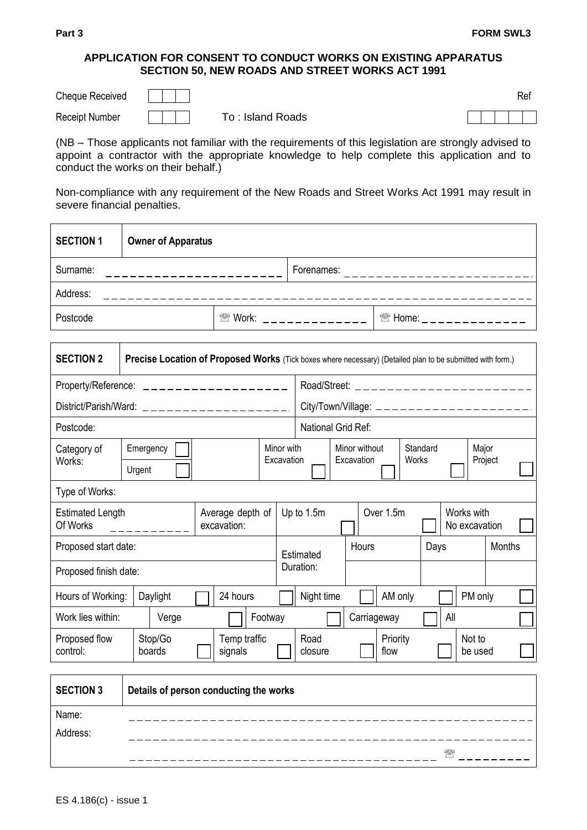## **APPLICATION FOR CONSENT TO CONDUCT WORKS ON EXISTING APPARATUS SECTION 50, NEW ROADS AND STREET WORKS ACT 1991**

| <b>Cheque Received</b> |                  |  |  | Rei |
|------------------------|------------------|--|--|-----|
| <b>Receipt Number</b>  | To: Island Roads |  |  |     |

(NB – Those applicants not familiar with the requirements of this legislation are strongly advised to appoint a contractor with the appropriate knowledge to help complete this application and to conduct the works on their behalf.)

Non-compliance with any requirement of the New Roads and Street Works Act 1991 may result in severe financial penalties.

| <b>SECTION 1</b>                                                                     | <b>Owner of Apparatus</b>                                                                                  |  |                                  |                          |                                                                      |                                          |       |                                                                  |      |          |        |     |                   |  |  |
|--------------------------------------------------------------------------------------|------------------------------------------------------------------------------------------------------------|--|----------------------------------|--------------------------|----------------------------------------------------------------------|------------------------------------------|-------|------------------------------------------------------------------|------|----------|--------|-----|-------------------|--|--|
| Surname:                                                                             |                                                                                                            |  |                                  |                          |                                                                      |                                          |       |                                                                  |      |          |        |     |                   |  |  |
| Address:                                                                             |                                                                                                            |  |                                  |                          |                                                                      |                                          |       |                                                                  |      |          |        |     |                   |  |  |
| Postcode                                                                             |                                                                                                            |  | <sup>2</sup> Work: _____________ |                          |                                                                      |                                          |       | <sup><b><sup>2</sup> Home:</b> _ _ _ _ _ _ _ _ _ _ _ _ _ _</sup> |      |          |        |     |                   |  |  |
|                                                                                      |                                                                                                            |  |                                  |                          |                                                                      |                                          |       |                                                                  |      |          |        |     |                   |  |  |
| <b>SECTION 2</b>                                                                     | Precise Location of Proposed Works (Tick boxes where necessary) (Detailed plan to be submitted with form.) |  |                                  |                          |                                                                      |                                          |       |                                                                  |      |          |        |     |                   |  |  |
|                                                                                      | Property/Reference: ___________________                                                                    |  |                                  |                          |                                                                      | Road/Street: ___________________________ |       |                                                                  |      |          |        |     |                   |  |  |
|                                                                                      | District/Parish/Ward: $\angle$ _ _ _ _ _ _ _ _ _ _ _ _ _ _ _ _ _ _                                         |  |                                  |                          |                                                                      |                                          |       |                                                                  |      |          |        |     |                   |  |  |
| Postcode:                                                                            |                                                                                                            |  |                                  |                          |                                                                      | National Grid Ref:                       |       |                                                                  |      |          |        |     |                   |  |  |
| Category of<br>Works:                                                                | Emergency<br>Urgent                                                                                        |  |                                  | Minor with<br>Excavation | Minor without<br>Standard<br>Major<br>Excavation<br>Works<br>Project |                                          |       |                                                                  |      |          |        |     |                   |  |  |
| Type of Works:                                                                       |                                                                                                            |  |                                  |                          |                                                                      |                                          |       |                                                                  |      |          |        |     |                   |  |  |
| Average depth of<br><b>Estimated Length</b><br>Of Works<br>excavation:<br>__________ |                                                                                                            |  |                                  |                          | Over 1.5m<br>Works with<br>Up to 1.5m<br>No excavation               |                                          |       |                                                                  |      |          |        |     |                   |  |  |
| Proposed start date:                                                                 |                                                                                                            |  |                                  | Estimated                |                                                                      |                                          | Hours |                                                                  | Days |          | Months |     |                   |  |  |
| Proposed finish date:                                                                |                                                                                                            |  |                                  |                          |                                                                      | Duration:                                |       |                                                                  |      |          |        |     |                   |  |  |
| Hours of Working:                                                                    | Daylight                                                                                                   |  | 24 hours                         |                          |                                                                      | Night time                               |       |                                                                  |      | AM only  |        |     | PM only           |  |  |
| Work lies within:                                                                    | Verge                                                                                                      |  |                                  | Footway                  |                                                                      |                                          |       | Carriageway                                                      |      |          |        | All |                   |  |  |
| Proposed flow<br>control:                                                            | Stop/Go<br>boards                                                                                          |  | Temp traffic<br>signals          |                          |                                                                      | Road<br>closure                          |       |                                                                  | flow | Priority |        |     | Not to<br>be used |  |  |
|                                                                                      |                                                                                                            |  |                                  |                          |                                                                      |                                          |       |                                                                  |      |          |        |     |                   |  |  |

| <b>SECTION 3</b>  | Details of person conducting the works |
|-------------------|----------------------------------------|
| Name:<br>Address: |                                        |
|                   | 霏                                      |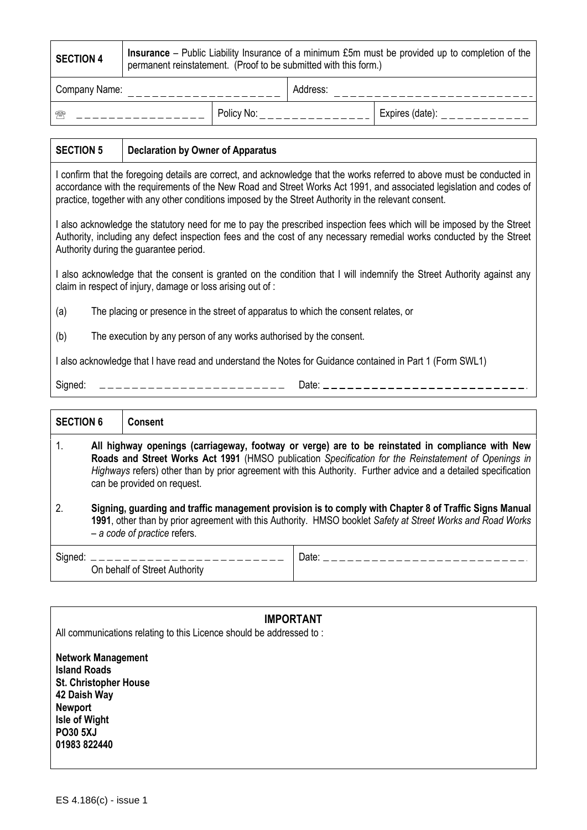| <b>SECTION 4</b> | <b>Insurance</b> – Public Liability Insurance of a minimum £5m must be provided up to completion of the<br>permanent reinstatement. (Proof to be submitted with this form.) |  |          |                 |  |  |  |
|------------------|-----------------------------------------------------------------------------------------------------------------------------------------------------------------------------|--|----------|-----------------|--|--|--|
| Company Name:    |                                                                                                                                                                             |  | Address: |                 |  |  |  |
| Policy No:<br>需  |                                                                                                                                                                             |  |          | Expires (date): |  |  |  |

## **SECTION 5 Declaration by Owner of Apparatus** I confirm that the foregoing details are correct, and acknowledge that the works referred to above must be conducted in accordance with the requirements of the New Road and Street Works Act 1991, and associated legislation and codes of practice, together with any other conditions imposed by the Street Authority in the relevant consent. I also acknowledge the statutory need for me to pay the prescribed inspection fees which will be imposed by the Street Authority, including any defect inspection fees and the cost of any necessary remedial works conducted by the Street Authority during the guarantee period. I also acknowledge that the consent is granted on the condition that I will indemnify the Street Authority against any claim in respect of injury, damage or loss arising out of :

- (a) The placing or presence in the street of apparatus to which the consent relates, or
- (b) The execution by any person of any works authorised by the consent.

I also acknowledge that I have read and understand the Notes for Guidance contained in Part 1 (Form SWL1)

 $Sigma:$   $-- -- -- -- -- -- -- -- ---$ 

| <b>SECTION 6</b> |                                                                                                                                                                                                                                                                                                                                                            | <b>Consent</b>                |                                |  |  |  |
|------------------|------------------------------------------------------------------------------------------------------------------------------------------------------------------------------------------------------------------------------------------------------------------------------------------------------------------------------------------------------------|-------------------------------|--------------------------------|--|--|--|
| 1.               | All highway openings (carriageway, footway or verge) are to be reinstated in compliance with New<br>Roads and Street Works Act 1991 (HMSO publication Specification for the Reinstatement of Openings in<br>Highways refers) other than by prior agreement with this Authority. Further advice and a detailed specification<br>can be provided on request. |                               |                                |  |  |  |
| 2.               | Signing, guarding and traffic management provision is to comply with Chapter 8 of Traffic Signs Manual<br>1991, other than by prior agreement with this Authority. HMSO booklet Safety at Street Works and Road Works<br>$-$ a code of practice refers.                                                                                                    |                               |                                |  |  |  |
|                  |                                                                                                                                                                                                                                                                                                                                                            | On behalf of Street Authority | Date: ________________________ |  |  |  |

| <b>IMPORTANT</b><br>All communications relating to this Licence should be addressed to:                                                                                |  |  |  |  |  |
|------------------------------------------------------------------------------------------------------------------------------------------------------------------------|--|--|--|--|--|
| <b>Network Management</b><br><b>Island Roads</b><br><b>St. Christopher House</b><br>42 Daish Way<br><b>Newport</b><br>Isle of Wight<br><b>PO30 5XJ</b><br>01983 822440 |  |  |  |  |  |